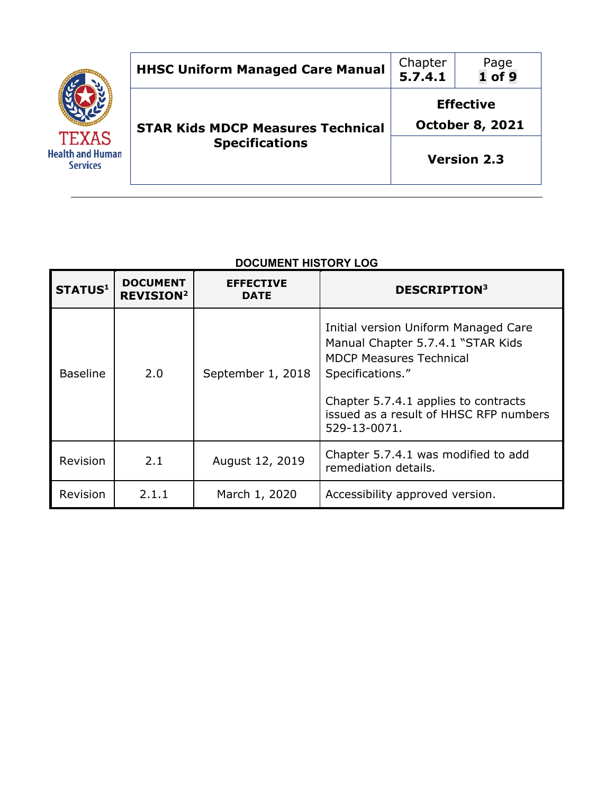|                                                            | <b>HHSC Uniform Managed Care Manual</b>  | Chapter<br>5.7.4.1                         | Page<br>$1$ of $9$ |
|------------------------------------------------------------|------------------------------------------|--------------------------------------------|--------------------|
| <b>TEXAS</b><br><b>Health and Human</b><br><b>Services</b> | <b>STAR Kids MDCP Measures Technical</b> | <b>Effective</b><br><b>October 8, 2021</b> |                    |
|                                                            | <b>Specifications</b>                    |                                            | <b>Version 2.3</b> |

## **DOCUMENT HISTORY LOG**

| <b>STATUS1</b>  | <b>DOCUMENT</b><br><b>REVISION<sup>2</sup></b> | <b>EFFECTIVE</b><br><b>DATE</b> | <b>DESCRIPTION3</b>                                                                                                                                                                                                               |
|-----------------|------------------------------------------------|---------------------------------|-----------------------------------------------------------------------------------------------------------------------------------------------------------------------------------------------------------------------------------|
| <b>Baseline</b> | 2.0                                            | September 1, 2018               | Initial version Uniform Managed Care<br>Manual Chapter 5.7.4.1 "STAR Kids<br><b>MDCP Measures Technical</b><br>Specifications."<br>Chapter 5.7.4.1 applies to contracts<br>issued as a result of HHSC RFP numbers<br>529-13-0071. |
| Revision        | 2.1                                            | August 12, 2019                 | Chapter 5.7.4.1 was modified to add<br>remediation details.                                                                                                                                                                       |
| Revision        | 2.1.1                                          | March 1, 2020                   | Accessibility approved version.                                                                                                                                                                                                   |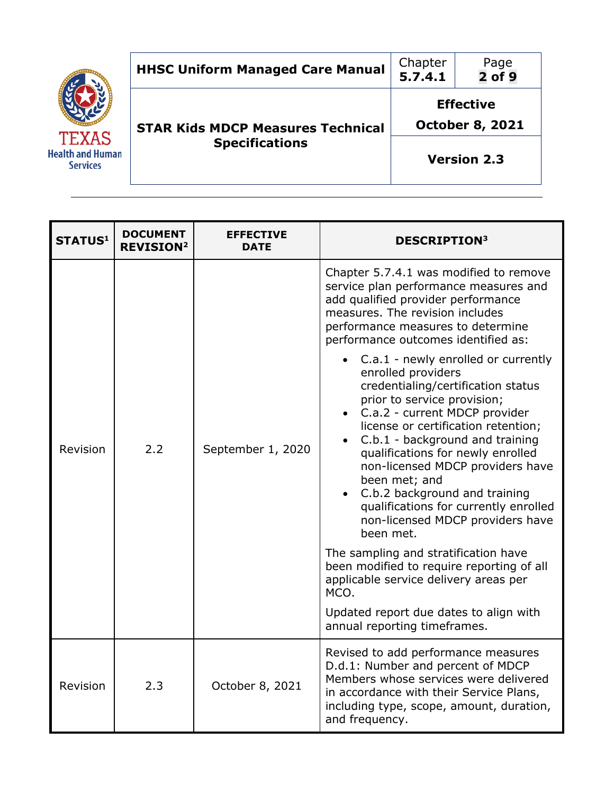| <b>TEXAS</b><br><b>Health and Human</b><br><b>Services</b> | <b>HHSC Uniform Managed Care Manual</b>  | Chapter<br>5.7.4.1                         | Page<br>2 of 9     |
|------------------------------------------------------------|------------------------------------------|--------------------------------------------|--------------------|
|                                                            | <b>STAR Kids MDCP Measures Technical</b> | <b>Effective</b><br><b>October 8, 2021</b> |                    |
|                                                            | <b>Specifications</b>                    |                                            | <b>Version 2.3</b> |

| <b>STATUS1</b> | <b>DOCUMENT</b><br><b>REVISION<sup>2</sup></b> | <b>EFFECTIVE</b><br><b>DATE</b> | <b>DESCRIPTION3</b>                                                                                                                                                                                                                                                                                                                                                                                                                                                                                                                                                                                                                                                                                                                                                                                                                                                                                                        |  |
|----------------|------------------------------------------------|---------------------------------|----------------------------------------------------------------------------------------------------------------------------------------------------------------------------------------------------------------------------------------------------------------------------------------------------------------------------------------------------------------------------------------------------------------------------------------------------------------------------------------------------------------------------------------------------------------------------------------------------------------------------------------------------------------------------------------------------------------------------------------------------------------------------------------------------------------------------------------------------------------------------------------------------------------------------|--|
| Revision       | 2.2                                            | September 1, 2020               | Chapter 5.7.4.1 was modified to remove<br>service plan performance measures and<br>add qualified provider performance<br>measures. The revision includes<br>performance measures to determine<br>performance outcomes identified as:<br>• C.a.1 - newly enrolled or currently<br>enrolled providers<br>credentialing/certification status<br>prior to service provision;<br>• C.a.2 - current MDCP provider<br>license or certification retention;<br>C.b.1 - background and training<br>qualifications for newly enrolled<br>non-licensed MDCP providers have<br>been met; and<br>C.b.2 background and training<br>qualifications for currently enrolled<br>non-licensed MDCP providers have<br>been met.<br>The sampling and stratification have<br>been modified to require reporting of all<br>applicable service delivery areas per<br>MCO.<br>Updated report due dates to align with<br>annual reporting timeframes. |  |
| Revision       | 2.3                                            | October 8, 2021                 | Revised to add performance measures<br>D.d.1: Number and percent of MDCP<br>Members whose services were delivered<br>in accordance with their Service Plans,<br>including type, scope, amount, duration,<br>and frequency.                                                                                                                                                                                                                                                                                                                                                                                                                                                                                                                                                                                                                                                                                                 |  |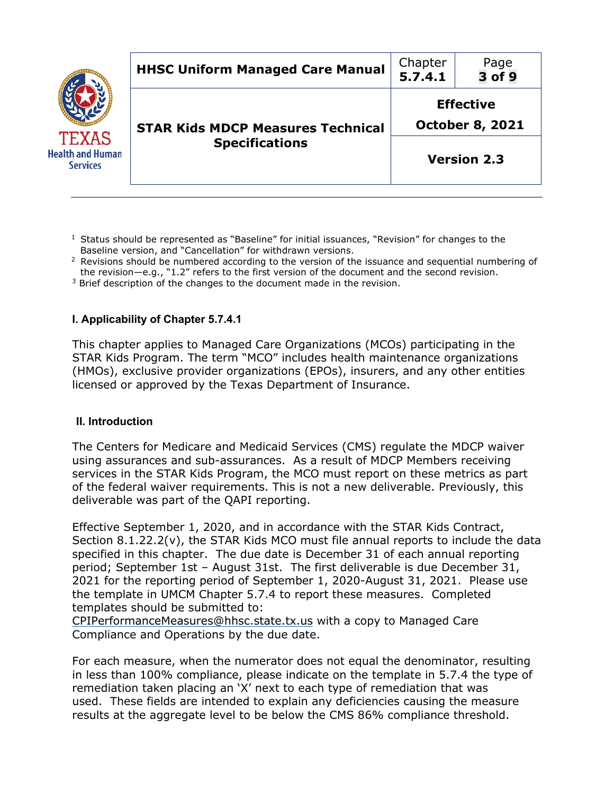| <b>TEXAS</b><br><b>Health and Human</b><br><b>Services</b> | <b>HHSC Uniform Managed Care Manual</b>  | Chapter<br>5.7.4.1                         | Page<br>3 of 9     |
|------------------------------------------------------------|------------------------------------------|--------------------------------------------|--------------------|
|                                                            | <b>STAR Kids MDCP Measures Technical</b> | <b>Effective</b><br><b>October 8, 2021</b> |                    |
|                                                            | <b>Specifications</b>                    |                                            | <b>Version 2.3</b> |

- $<sup>1</sup>$  Status should be represented as "Baseline" for initial issuances, "Revision" for changes to the</sup> Baseline version, and "Cancellation" for withdrawn versions.
- $2$  Revisions should be numbered according to the version of the issuance and sequential numbering of the revision—e.g., "1.2" refers to the first version of the document and the second revision.
- $3$  Brief description of the changes to the document made in the revision.

## **I. Applicability of Chapter 5.7.4.1**

This chapter applies to Managed Care Organizations (MCOs) participating in the STAR Kids Program. The term "MCO" includes health maintenance organizations (HMOs), exclusive provider organizations (EPOs), insurers, and any other entities licensed or approved by the Texas Department of Insurance.

## **II. Introduction**

The Centers for Medicare and Medicaid Services (CMS) regulate the MDCP waiver using assurances and sub-assurances. As a result of MDCP Members receiving services in the STAR Kids Program, the MCO must report on these metrics as part of the federal waiver requirements. This is not a new deliverable. Previously, this deliverable was part of the QAPI reporting.

Effective September 1, 2020, and in accordance with the STAR Kids Contract, Section 8.1.22.2(v), the STAR Kids MCO must file annual reports to include the data specified in this chapter. The due date is December 31 of each annual reporting period; September 1st – August 31st. The first deliverable is due December 31, 2021 for the reporting period of September 1, 2020-August 31, 2021. Please use the template in UMCM Chapter 5.7.4 to report these measures. Completed templates should be submitted to:

CPIPerformanceMeasures@hhsc.state.tx.us with a copy to Managed Care Compliance and Operations by the due date.

For each measure, when the numerator does not equal the denominator, resulting in less than 100% compliance, please indicate on the template in 5.7.4 the type of remediation taken placing an 'X' next to each type of remediation that was used. These fields are intended to explain any deficiencies causing the measure results at the aggregate level to be below the CMS 86% compliance threshold.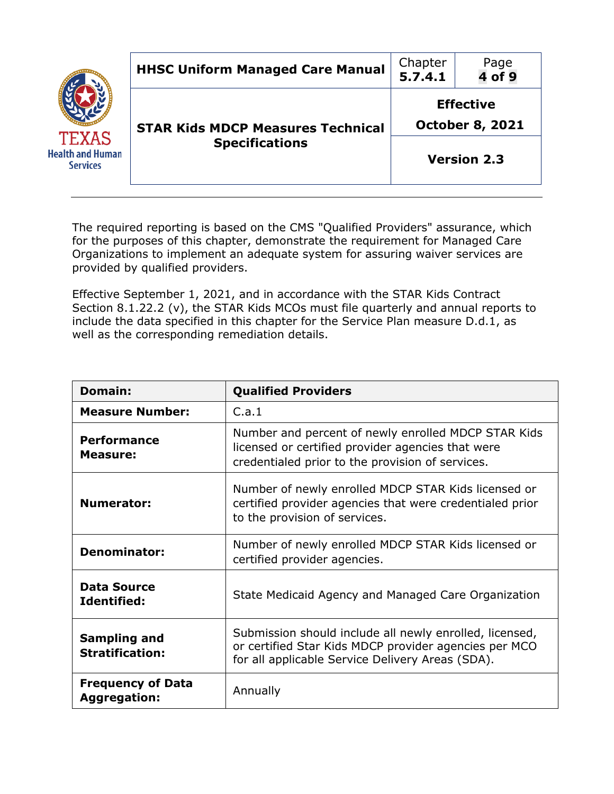|                                                            | <b>HHSC Uniform Managed Care Manual</b>  | Chapter<br>5.7.4.1                         | Page<br>$4$ of $9$ |
|------------------------------------------------------------|------------------------------------------|--------------------------------------------|--------------------|
| <b>TEXAS</b><br><b>Health and Human</b><br><b>Services</b> | <b>STAR Kids MDCP Measures Technical</b> | <b>Effective</b><br><b>October 8, 2021</b> |                    |
|                                                            | <b>Specifications</b>                    |                                            | <b>Version 2.3</b> |

The required reporting is based on the CMS "Qualified Providers" assurance, which for the purposes of this chapter, demonstrate the requirement for Managed Care Organizations to implement an adequate system for assuring waiver services are provided by qualified providers.

Effective September 1, 2021, and in accordance with the STAR Kids Contract Section 8.1.22.2 (v), the STAR Kids MCOs must file quarterly and annual reports to include the data specified in this chapter for the Service Plan measure D.d.1, as well as the corresponding remediation details.

| Domain:                                         | <b>Qualified Providers</b>                                                                                                                                           |  |
|-------------------------------------------------|----------------------------------------------------------------------------------------------------------------------------------------------------------------------|--|
| <b>Measure Number:</b>                          | C.a.1                                                                                                                                                                |  |
| <b>Performance</b><br><b>Measure:</b>           | Number and percent of newly enrolled MDCP STAR Kids<br>licensed or certified provider agencies that were<br>credentialed prior to the provision of services.         |  |
| <b>Numerator:</b>                               | Number of newly enrolled MDCP STAR Kids licensed or<br>certified provider agencies that were credentialed prior<br>to the provision of services.                     |  |
| <b>Denominator:</b>                             | Number of newly enrolled MDCP STAR Kids licensed or<br>certified provider agencies.                                                                                  |  |
| <b>Data Source</b><br><b>Identified:</b>        | State Medicaid Agency and Managed Care Organization                                                                                                                  |  |
| <b>Sampling and</b><br><b>Stratification:</b>   | Submission should include all newly enrolled, licensed,<br>or certified Star Kids MDCP provider agencies per MCO<br>for all applicable Service Delivery Areas (SDA). |  |
| <b>Frequency of Data</b><br><b>Aggregation:</b> | Annually                                                                                                                                                             |  |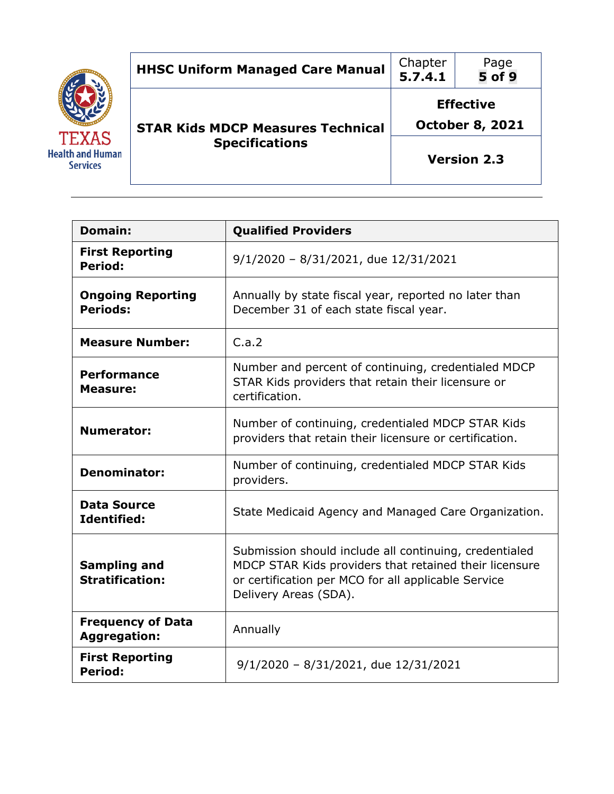|                                                            | <b>HHSC Uniform Managed Care Manual</b>  | Chapter<br>5.7.4.1                         | Page<br>5 of 9     |
|------------------------------------------------------------|------------------------------------------|--------------------------------------------|--------------------|
| <b>TEXAS</b><br><b>Health and Human</b><br><b>Services</b> | <b>STAR Kids MDCP Measures Technical</b> | <b>Effective</b><br><b>October 8, 2021</b> |                    |
|                                                            | <b>Specifications</b>                    |                                            | <b>Version 2.3</b> |

| <b>Domain:</b><br><b>Qualified Providers</b>                                           |                                                                                                                                                                                                  |  |
|----------------------------------------------------------------------------------------|--------------------------------------------------------------------------------------------------------------------------------------------------------------------------------------------------|--|
| <b>First Reporting</b><br><b>Period:</b>                                               | $9/1/2020 - 8/31/2021$ , due $12/31/2021$                                                                                                                                                        |  |
| <b>Ongoing Reporting</b><br><b>Periods:</b>                                            | Annually by state fiscal year, reported no later than<br>December 31 of each state fiscal year.                                                                                                  |  |
| <b>Measure Number:</b>                                                                 | C.a.2                                                                                                                                                                                            |  |
| <b>Performance</b><br><b>Measure:</b>                                                  | Number and percent of continuing, credentialed MDCP<br>STAR Kids providers that retain their licensure or<br>certification.                                                                      |  |
| <b>Numerator:</b>                                                                      | Number of continuing, credentialed MDCP STAR Kids<br>providers that retain their licensure or certification.                                                                                     |  |
| Number of continuing, credentialed MDCP STAR Kids<br><b>Denominator:</b><br>providers. |                                                                                                                                                                                                  |  |
| <b>Data Source</b><br><b>Identified:</b>                                               | State Medicaid Agency and Managed Care Organization.                                                                                                                                             |  |
| <b>Sampling and</b><br><b>Stratification:</b>                                          | Submission should include all continuing, credentialed<br>MDCP STAR Kids providers that retained their licensure<br>or certification per MCO for all applicable Service<br>Delivery Areas (SDA). |  |
| <b>Frequency of Data</b><br><b>Aggregation:</b>                                        | Annually                                                                                                                                                                                         |  |
| <b>First Reporting</b><br><b>Period:</b>                                               | $9/1/2020 - 8/31/2021$ , due $12/31/2021$                                                                                                                                                        |  |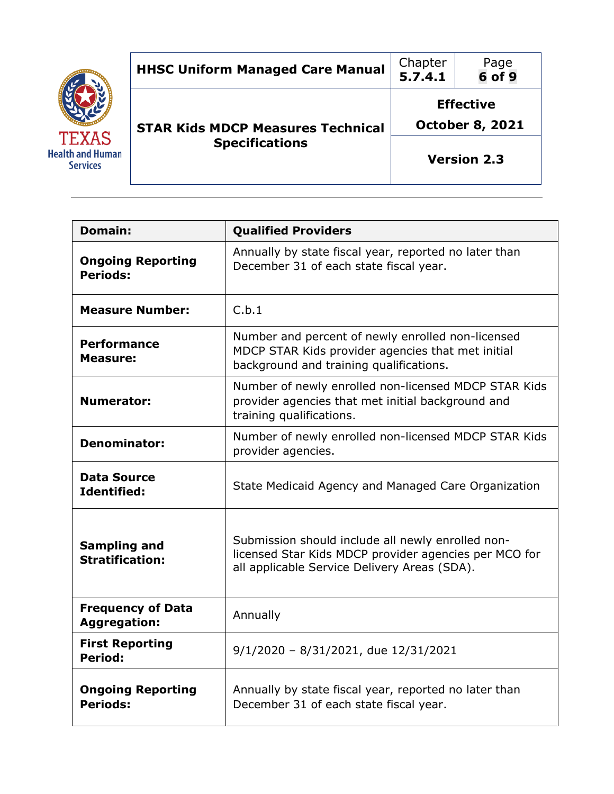| <b>TEXAS</b><br><b>Health and Human</b><br><b>Services</b> | <b>HHSC Uniform Managed Care Manual</b>  | Chapter<br>5.7.4.1                         | Page<br>6 of 9     |
|------------------------------------------------------------|------------------------------------------|--------------------------------------------|--------------------|
|                                                            | <b>STAR Kids MDCP Measures Technical</b> | <b>Effective</b><br><b>October 8, 2021</b> |                    |
|                                                            | <b>Specifications</b>                    |                                            | <b>Version 2.3</b> |

| Domain:                                                                                                                                        | <b>Qualified Providers</b>                                                                                                                                 |  |  |
|------------------------------------------------------------------------------------------------------------------------------------------------|------------------------------------------------------------------------------------------------------------------------------------------------------------|--|--|
| Annually by state fiscal year, reported no later than<br><b>Ongoing Reporting</b><br>December 31 of each state fiscal year.<br><b>Periods:</b> |                                                                                                                                                            |  |  |
| <b>Measure Number:</b>                                                                                                                         | C.b.1                                                                                                                                                      |  |  |
| <b>Performance</b><br><b>Measure:</b>                                                                                                          | Number and percent of newly enrolled non-licensed<br>MDCP STAR Kids provider agencies that met initial<br>background and training qualifications.          |  |  |
| <b>Numerator:</b>                                                                                                                              | Number of newly enrolled non-licensed MDCP STAR Kids<br>provider agencies that met initial background and<br>training qualifications.                      |  |  |
| <b>Denominator:</b>                                                                                                                            | Number of newly enrolled non-licensed MDCP STAR Kids<br>provider agencies.                                                                                 |  |  |
| <b>Data Source</b><br><b>Identified:</b>                                                                                                       | State Medicaid Agency and Managed Care Organization                                                                                                        |  |  |
| <b>Sampling and</b><br><b>Stratification:</b>                                                                                                  | Submission should include all newly enrolled non-<br>licensed Star Kids MDCP provider agencies per MCO for<br>all applicable Service Delivery Areas (SDA). |  |  |
| <b>Frequency of Data</b><br><b>Aggregation:</b>                                                                                                | Annually                                                                                                                                                   |  |  |
| <b>First Reporting</b><br><b>Period:</b>                                                                                                       | $9/1/2020 - 8/31/2021$ , due $12/31/2021$                                                                                                                  |  |  |
| <b>Ongoing Reporting</b><br><b>Periods:</b>                                                                                                    | Annually by state fiscal year, reported no later than<br>December 31 of each state fiscal year.                                                            |  |  |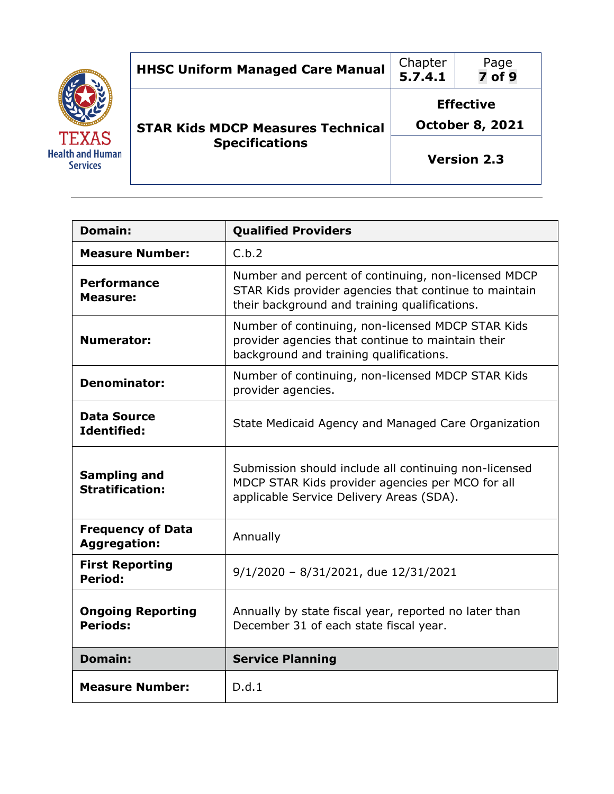| <b>TEXAS</b><br><b>Health and Human</b><br><b>Services</b> | <b>HHSC Uniform Managed Care Manual</b>  | Chapter<br>5.7.4.1                         | Page<br>7 of 9     |
|------------------------------------------------------------|------------------------------------------|--------------------------------------------|--------------------|
|                                                            | <b>STAR Kids MDCP Measures Technical</b> | <b>Effective</b><br><b>October 8, 2021</b> |                    |
|                                                            | <b>Specifications</b>                    |                                            | <b>Version 2.3</b> |

| <b>Domain:</b>                                  | <b>Qualified Providers</b>                                                                                                                                    |  |
|-------------------------------------------------|---------------------------------------------------------------------------------------------------------------------------------------------------------------|--|
| <b>Measure Number:</b>                          | C.b.2                                                                                                                                                         |  |
| <b>Performance</b><br><b>Measure:</b>           | Number and percent of continuing, non-licensed MDCP<br>STAR Kids provider agencies that continue to maintain<br>their background and training qualifications. |  |
| <b>Numerator:</b>                               | Number of continuing, non-licensed MDCP STAR Kids<br>provider agencies that continue to maintain their<br>background and training qualifications.             |  |
| <b>Denominator:</b>                             | Number of continuing, non-licensed MDCP STAR Kids<br>provider agencies.                                                                                       |  |
| <b>Data Source</b><br><b>Identified:</b>        | State Medicaid Agency and Managed Care Organization                                                                                                           |  |
| <b>Sampling and</b><br><b>Stratification:</b>   | Submission should include all continuing non-licensed<br>MDCP STAR Kids provider agencies per MCO for all<br>applicable Service Delivery Areas (SDA).         |  |
| <b>Frequency of Data</b><br><b>Aggregation:</b> | Annually                                                                                                                                                      |  |
| <b>First Reporting</b><br><b>Period:</b>        | $9/1/2020 - 8/31/2021$ , due $12/31/2021$                                                                                                                     |  |
| <b>Ongoing Reporting</b><br><b>Periods:</b>     | Annually by state fiscal year, reported no later than<br>December 31 of each state fiscal year.                                                               |  |
| Domain:                                         | <b>Service Planning</b>                                                                                                                                       |  |
| <b>Measure Number:</b>                          | D.d.1                                                                                                                                                         |  |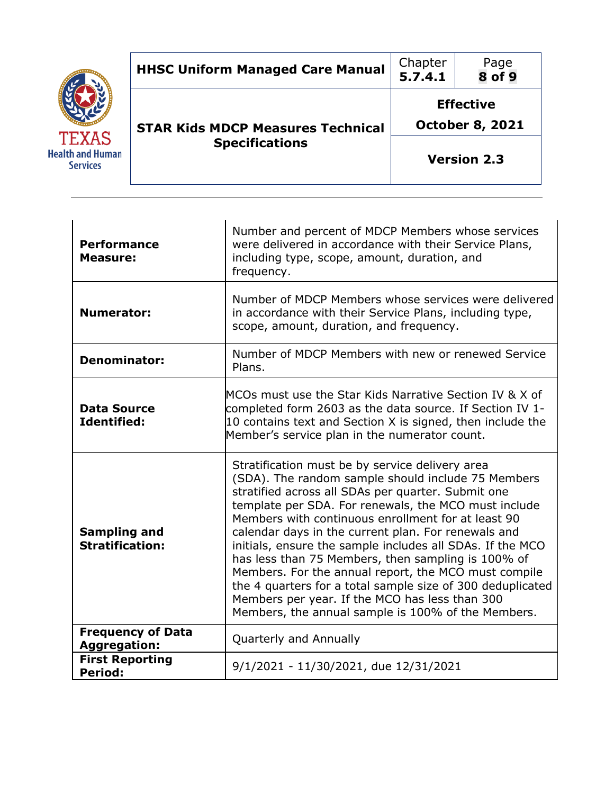| <b>TEXAS</b><br><b>Health and Human</b><br><b>Services</b> | <b>HHSC Uniform Managed Care Manual</b>                           | Chapter<br>5.7.4.1                         | Page<br>8 of 9     |
|------------------------------------------------------------|-------------------------------------------------------------------|--------------------------------------------|--------------------|
|                                                            | <b>STAR Kids MDCP Measures Technical</b><br><b>Specifications</b> | <b>Effective</b><br><b>October 8, 2021</b> |                    |
|                                                            |                                                                   |                                            | <b>Version 2.3</b> |

| <b>Performance</b><br><b>Measure:</b>           | Number and percent of MDCP Members whose services<br>were delivered in accordance with their Service Plans,<br>including type, scope, amount, duration, and<br>frequency.                                                                                                                                                                                                                                                                                                                                                                                                                                                                                                         |
|-------------------------------------------------|-----------------------------------------------------------------------------------------------------------------------------------------------------------------------------------------------------------------------------------------------------------------------------------------------------------------------------------------------------------------------------------------------------------------------------------------------------------------------------------------------------------------------------------------------------------------------------------------------------------------------------------------------------------------------------------|
| <b>Numerator:</b>                               | Number of MDCP Members whose services were delivered<br>in accordance with their Service Plans, including type,<br>scope, amount, duration, and frequency.                                                                                                                                                                                                                                                                                                                                                                                                                                                                                                                        |
| <b>Denominator:</b>                             | Number of MDCP Members with new or renewed Service<br>Plans.                                                                                                                                                                                                                                                                                                                                                                                                                                                                                                                                                                                                                      |
| <b>Data Source</b><br><b>Identified:</b>        | MCOs must use the Star Kids Narrative Section IV & X of<br>completed form 2603 as the data source. If Section IV 1-<br>10 contains text and Section X is signed, then include the<br>Member's service plan in the numerator count.                                                                                                                                                                                                                                                                                                                                                                                                                                                |
| <b>Sampling and</b><br><b>Stratification:</b>   | Stratification must be by service delivery area<br>(SDA). The random sample should include 75 Members<br>stratified across all SDAs per quarter. Submit one<br>template per SDA. For renewals, the MCO must include<br>Members with continuous enrollment for at least 90<br>calendar days in the current plan. For renewals and<br>initials, ensure the sample includes all SDAs. If the MCO<br>has less than 75 Members, then sampling is 100% of<br>Members. For the annual report, the MCO must compile<br>the 4 quarters for a total sample size of 300 deduplicated<br>Members per year. If the MCO has less than 300<br>Members, the annual sample is 100% of the Members. |
| <b>Frequency of Data</b><br><b>Aggregation:</b> | Quarterly and Annually                                                                                                                                                                                                                                                                                                                                                                                                                                                                                                                                                                                                                                                            |
| <b>First Reporting</b><br>Period:               | 9/1/2021 - 11/30/2021, due 12/31/2021                                                                                                                                                                                                                                                                                                                                                                                                                                                                                                                                                                                                                                             |